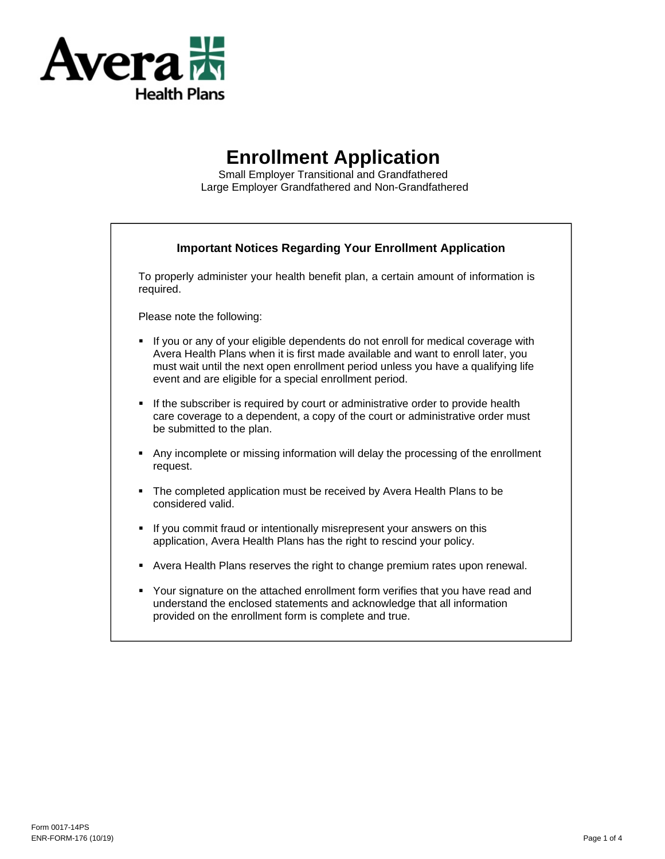

# **Enrollment Application**

Small Employer Transitional and Grandfathered Large Employer Grandfathered and Non-Grandfathered

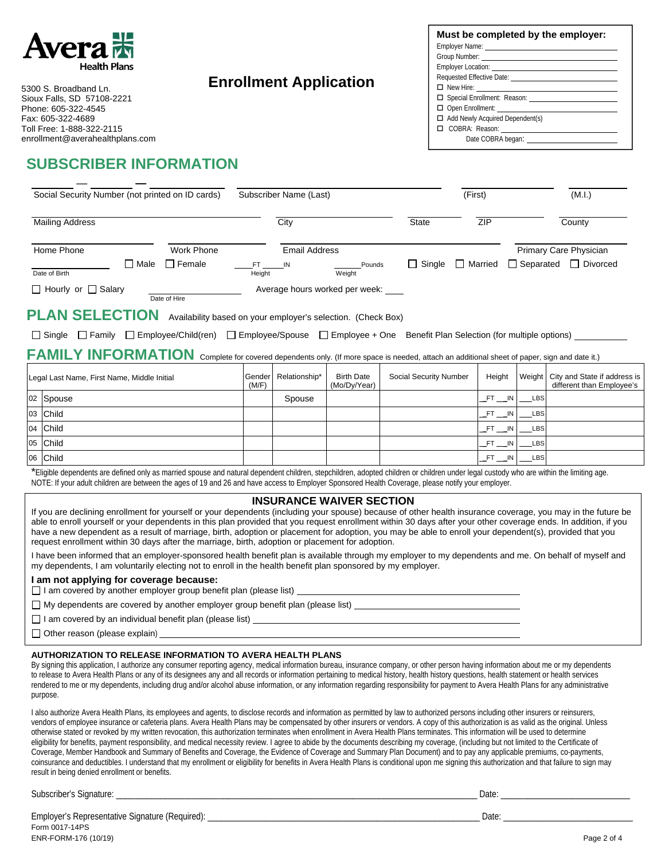

5300 S. Broadband Ln. Sioux Falls, SD 57108-2221 Phone: 605-322-4545 Fax: 605-322-4689 Toll Free: 1-888-322-2115 enrollment@averahealthplans.com

# **SUBSCRIBER INFORMATION**

| Must be completed by the employer:                                                                                                                                                                                                   |
|--------------------------------------------------------------------------------------------------------------------------------------------------------------------------------------------------------------------------------------|
| Employer Name: The contract of the contract of the contract of the contract of the contract of the contract of the contract of the contract of the contract of the contract of the contract of the contract of the contract of       |
| Group Number: <u>contract and contract and contract and contract and contract and contract and contract and contract and contract and contract and contract and contract and contract and contract and contract and contract and</u> |
|                                                                                                                                                                                                                                      |
|                                                                                                                                                                                                                                      |
|                                                                                                                                                                                                                                      |
|                                                                                                                                                                                                                                      |
|                                                                                                                                                                                                                                      |
| $\Box$ Add Newly Acquired Dependent(s)                                                                                                                                                                                               |
|                                                                                                                                                                                                                                      |
| Date COBRA began:                                                                                                                                                                                                                    |
|                                                                                                                                                                                                                                      |

| Social Security Number (not printed on ID cards) |            |               | Subscriber Name (Last) |               |                                | (First)       |              | (M.I.)                 |            |
|--------------------------------------------------|------------|---------------|------------------------|---------------|--------------------------------|---------------|--------------|------------------------|------------|
| <b>Mailing Address</b>                           |            |               |                        | City          |                                | <b>State</b>  | ZIP          |                        | County     |
| Home Phone                                       | Work Phone |               |                        | Email Address |                                |               |              | Primary Care Physician |            |
| Date of Birth                                    | ⊟ Male     | $\Box$ Female | Height                 | IN            | Pounds<br>Weight               | $\Box$ Single | Married<br>П | $\Box$ Separated       | □ Divorced |
| $\Box$ Hourly or $\Box$ Salary                   |            | Date of Hire  |                        |               | Average hours worked per week: |               |              |                        |            |

**PLAN SELECTION** Availability based on your employer's selection. (Check Box)

□ Single □ Family □ Employee/Child(ren) □ Employee/Spouse □ Employee + One Benefit Plan Selection (for multiple options)

**Enrollment Application** 

FAMILY INFORMATION Complete for covered dependents only. (If more space is needed, attach an additional sheet of paper, sign and date it.)

| Legal Last Name, First Name, Middle Initial |           | Gender<br>(M/F) | Relationship* | <b>Birth Date</b><br>(Mo/Dy/Year) | Social Security Number | Height |            | Weight   City and State if address is<br>different than Employee's |
|---------------------------------------------|-----------|-----------------|---------------|-----------------------------------|------------------------|--------|------------|--------------------------------------------------------------------|
|                                             | 02 Spouse |                 | Spouse        |                                   |                        | FT IN  | <b>LBS</b> |                                                                    |
|                                             | 03 Child  |                 |               |                                   |                        | FT IN  | <b>LBS</b> |                                                                    |
|                                             | 04 Child  |                 |               |                                   |                        | FT IN  | <b>LBS</b> |                                                                    |
|                                             | 05 Child  |                 |               |                                   |                        | FT IN  | <b>LBS</b> |                                                                    |
|                                             | 06 Child  |                 |               |                                   |                        | FT IN  | <b>LBS</b> |                                                                    |

\*Eligible dependents are defined only as married spouse and natural dependent children, stepchildren, adopted children or children under legal custody who are within the limiting age. NOTE: If your adult children are between the ages of 19 and 26 and have access to Employer Sponsored Health Coverage, please notify your employer.

### **INSURANCE WAIVER SECTION**

If you are declining enrollment for yourself or your dependents (including your spouse) because of other health insurance coverage, you may in the future be able to enroll yourself or your dependents in this plan provided that you request enrollment within 30 days after your other coverage ends. In addition, if you have a new dependent as a result of marriage, birth, adoption or placement for adoption, you may be able to enroll your dependent(s), provided that you request enrollment within 30 days after the marriage, birth, adoption or placement for adoption.

I have been informed that an employer-sponsored health benefit plan is available through my employer to my dependents and me. On behalf of myself and my dependents, I am voluntarily electing not to enroll in the health benefit plan sponsored by my employer.

#### **I am not applying for coverage because:**

 $\Box$  I am covered by another employer group benefit plan (please list)  $\Box$ 

My dependents are covered by another employer group benefit plan (please list)

□ I am covered by an individual benefit plan (please list) \_\_\_\_\_\_\_\_\_\_\_\_\_\_\_\_\_\_\_\_\_

 $\Box$  Other reason (please explain)

#### **AUTHORIZATION TO RELEASE INFORMATION TO AVERA HEALTH PLANS**

By signing this application, I authorize any consumer reporting agency, medical information bureau, insurance company, or other person having information about me or my dependents to release to Avera Health Plans or any of its designees any and all records or information pertaining to medical history, health history questions, health statement or health services rendered to me or my dependents, including drug and/or alcohol abuse information, or any information regarding responsibility for payment to Avera Health Plans for any administrative purpose.

I also authorize Avera Health Plans, its employees and agents, to disclose records and information as permitted by law to authorized persons including other insurers or reinsurers, vendors of employee insurance or cafeteria plans. Avera Health Plans may be compensated by other insurers or vendors. A copy of this authorization is as valid as the original. Unless otherwise stated or revoked by my written revocation, this authorization terminates when enrollment in Avera Health Plans terminates. This information will be used to determine eligibility for benefits, payment responsibility, and medical necessity review. I agree to abide by the documents describing my coverage, (including but not limited to the Certificate of Coverage, Member Handbook and Summary of Benefits and Coverage, the Evidence of Coverage and Summary Plan Document) and to pay any applicable premiums, co-payments, coinsurance and deductibles. I understand that my enrollment or eligibility for benefits in Avera Health Plans is conditional upon me signing this authorization and that failure to sign may result in being denied enrollment or benefits.

Subscriber's Signature: \_\_\_\_\_\_\_\_\_\_\_\_\_\_\_\_\_\_\_\_\_\_\_\_\_\_\_\_\_\_\_\_\_\_\_\_\_\_\_\_\_\_\_\_\_\_\_\_\_\_\_\_\_\_\_\_\_\_\_\_\_\_\_\_\_\_\_\_\_\_\_\_\_\_\_\_\_\_\_\_\_ Date: \_\_\_\_\_\_\_\_\_\_\_\_\_\_\_\_\_\_\_\_\_\_\_\_\_\_\_\_\_

Form 0017-14PS ENR-FORM-176 (10/19) Page 2 of 4 Employer's Representative Signature (Required): \_\_\_\_\_\_\_\_\_\_\_\_\_\_\_\_\_\_\_\_\_\_\_\_\_\_\_\_\_\_\_\_\_\_\_\_\_\_\_\_\_\_\_\_\_\_\_\_\_\_\_\_\_\_\_\_\_\_\_\_\_ Date: \_\_\_\_\_\_\_\_\_\_\_\_\_\_\_\_\_\_\_\_\_\_\_\_\_\_\_\_\_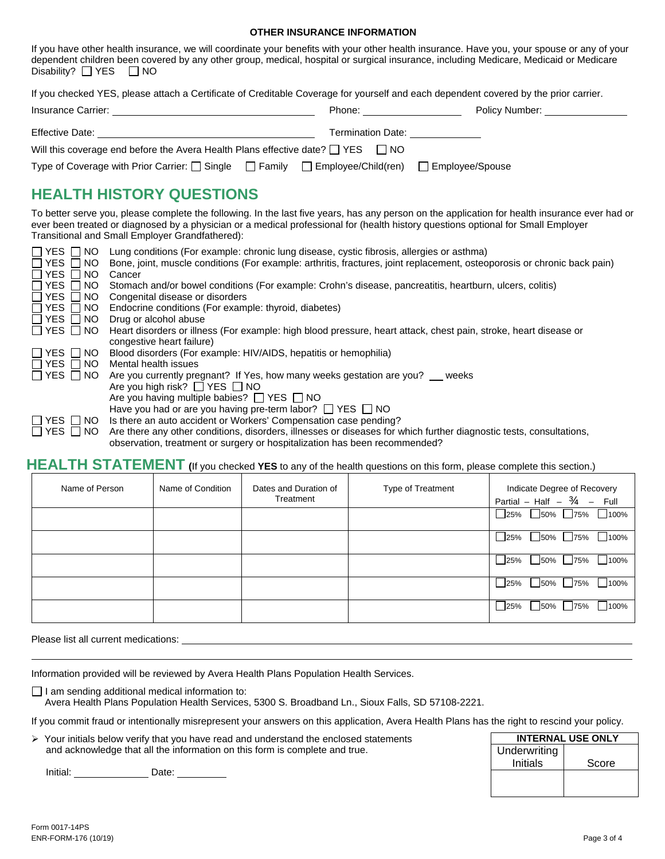#### **OTHER INSURANCE INFORMATION**

| Disability? $\Box$ YES $\Box$ NO                                                                                                                                                                  |                                                                                                                                                                                                                                                                                                                                                                                                      |  | If you have other health insurance, we will coordinate your benefits with your other health insurance. Have you, your spouse or any of your<br>dependent children been covered by any other group, medical, hospital or surgical insurance, including Medicare, Medicaid or Medicare                                                                     |
|---------------------------------------------------------------------------------------------------------------------------------------------------------------------------------------------------|------------------------------------------------------------------------------------------------------------------------------------------------------------------------------------------------------------------------------------------------------------------------------------------------------------------------------------------------------------------------------------------------------|--|----------------------------------------------------------------------------------------------------------------------------------------------------------------------------------------------------------------------------------------------------------------------------------------------------------------------------------------------------------|
|                                                                                                                                                                                                   |                                                                                                                                                                                                                                                                                                                                                                                                      |  | If you checked YES, please attach a Certificate of Creditable Coverage for yourself and each dependent covered by the prior carrier.                                                                                                                                                                                                                     |
|                                                                                                                                                                                                   |                                                                                                                                                                                                                                                                                                                                                                                                      |  | Phone: Phone: Policy Number:                                                                                                                                                                                                                                                                                                                             |
|                                                                                                                                                                                                   |                                                                                                                                                                                                                                                                                                                                                                                                      |  |                                                                                                                                                                                                                                                                                                                                                          |
|                                                                                                                                                                                                   | Will this coverage end before the Avera Health Plans effective date? $\Box$ YES $\Box$ NO                                                                                                                                                                                                                                                                                                            |  |                                                                                                                                                                                                                                                                                                                                                          |
|                                                                                                                                                                                                   | Type of Coverage with Prior Carrier: □ Single □ Family □ Employee/Child(ren) □ Employee/Spouse                                                                                                                                                                                                                                                                                                       |  |                                                                                                                                                                                                                                                                                                                                                          |
|                                                                                                                                                                                                   | <b>HEALTH HISTORY QUESTIONS</b>                                                                                                                                                                                                                                                                                                                                                                      |  |                                                                                                                                                                                                                                                                                                                                                          |
|                                                                                                                                                                                                   | Transitional and Small Employer Grandfathered):                                                                                                                                                                                                                                                                                                                                                      |  | To better serve you, please complete the following. In the last five years, has any person on the application for health insurance ever had or<br>ever been treated or diagnosed by a physician or a medical professional for (health history questions optional for Small Employer                                                                      |
| $\Box$ YES $\Box$ NO<br>$\Box$ YES $\Box$ NO<br>Π YES<br>NO.<br>$\Box$<br>$\Box$ YES<br>NO.<br>$\perp$<br>$\Box$ YES<br>NO.<br>$\blacksquare$<br>$\Box$ Yes $\Box$<br>NO.<br>$\Box$ YES $\Box$ NO | □ YES □ NO Lung conditions (For example: chronic lung disease, cystic fibrosis, allergies or asthma)<br>Cancer<br>Congenital disease or disorders<br>Endocrine conditions (For example: thyroid, diabetes)<br>Drug or alcohol abuse<br>congestive heart failure)                                                                                                                                     |  | Bone, joint, muscle conditions (For example: arthritis, fractures, joint replacement, osteoporosis or chronic back pain)<br>Stomach and/or bowel conditions (For example: Crohn's disease, pancreatitis, heartburn, ulcers, colitis)<br>Heart disorders or illness (For example: high blood pressure, heart attack, chest pain, stroke, heart disease or |
| $\Box$ YES $\Box$ NO<br>$\Box$ YES $\Box$ NO<br>$\Box$ YES $\Box$ NO<br>$\Box$ YES $\Box$ NO                                                                                                      | Blood disorders (For example: HIV/AIDS, hepatitis or hemophilia)<br>Mental health issues<br>Are you currently pregnant? If Yes, how many weeks gestation are you? __ weeks<br>Are you high risk? □ YES □ NO<br>Are you having multiple babies? □ YES □ NO<br>Have you had or are you having pre-term labor? $\Box$ YES $\Box$ NO<br>Is there an auto accident or Workers' Compensation case pending? |  |                                                                                                                                                                                                                                                                                                                                                          |
| $\Box$ YES $\Box$ NO                                                                                                                                                                              | observation, treatment or surgery or hospitalization has been recommended?                                                                                                                                                                                                                                                                                                                           |  | Are there any other conditions, disorders, illnesses or diseases for which further diagnostic tests, consultations,                                                                                                                                                                                                                                      |

## **HEALTH STATEMENT (**If you checked **YES** to any of the health questions on this form, please complete this section.)

| Name of Person | Name of Condition | Dates and Duration of<br>Treatment | Type of Treatment | Indicate Degree of Recovery<br>Partial – Half – $\frac{3}{4}$<br>- Full |
|----------------|-------------------|------------------------------------|-------------------|-------------------------------------------------------------------------|
|                |                   |                                    |                   | 100%<br>50% 75%<br>25%                                                  |
|                |                   |                                    |                   | $100\%$<br>$\bigcup$ 50%<br>75%<br>25%                                  |
|                |                   |                                    |                   | 100%<br>50% 75%<br>25%                                                  |
|                |                   |                                    |                   | 100%<br>50% 75%<br>25%                                                  |
|                |                   |                                    |                   | 100%<br>50% 75%<br>25%                                                  |

Please list all current medications:

Information provided will be reviewed by Avera Health Plans Population Health Services.

 $\Box$  I am sending additional medical information to:

Avera Health Plans Population Health Services, 5300 S. Broadband Ln., Sioux Falls, SD 57108-2221.

If you commit fraud or intentionally misrepresent your answers on this application, Avera Health Plans has the right to rescind your policy.

| $\triangleright$ Your initials below verify that you have read and understand the enclosed statements |
|-------------------------------------------------------------------------------------------------------|
| and acknowledge that all the information on this form is complete and true.                           |

Initial: <u>\_\_\_\_\_\_\_\_\_\_\_\_\_\_\_\_</u> Date: \_\_\_\_\_\_\_\_\_

 $\overline{a}$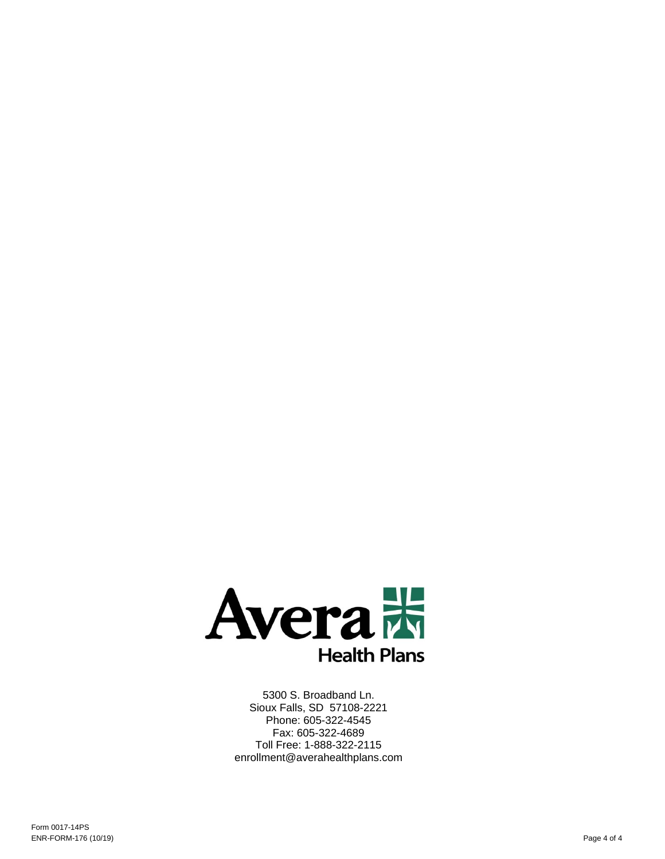

5300 S. Broadband Ln. Sioux Falls, SD 57108-2221 Phone: 605-322-4545 Fax: 605-322-4689 Toll Free: 1-888-322-2115 enrollment@averahealthplans.com